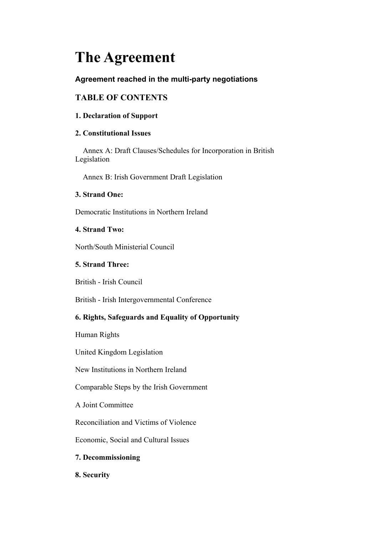# **The Agreement**

# **Agreement reached in the multi-party negotiations**

# **TABLE OF CONTENTS**

# **1. Declaration of Support**

# **2. Constitutional Issues**

 Annex A: Draft Clauses/Schedules for Incorporation in British Legislation

Annex B: Irish Government Draft Legislation

# **3. Strand One:**

Democratic Institutions in Northern Ireland

**4. Strand Two:**

North/South Ministerial Council

# **5. Strand Three:**

British - Irish Council

British - Irish Intergovernmental Conference

# **6. Rights, Safeguards and Equality of Opportunity**

Human Rights

United Kingdom Legislation

New Institutions in Northern Ireland

Comparable Steps by the Irish Government

A Joint Committee

Reconciliation and Victims of Violence

Economic, Social and Cultural Issues

## **7. Decommissioning**

**8. Security**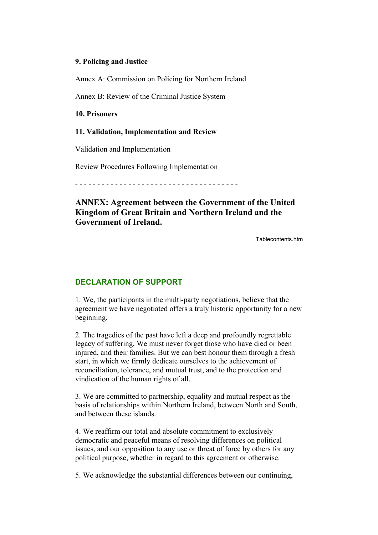## **9. Policing and Justice**

Annex A: Commission on Policing for Northern Ireland

Annex B: Review of the Criminal Justice System

#### **10. Prisoners**

#### **11. Validation, Implementation and Review**

Validation and Implementation

Review Procedures Following Implementation

- - - - - - - - - - - - - - - - - - - - - - - - - - - - - - - - - - - - -

# **ANNEX: Agreement between the Government of the United Kingdom of Great Britain and Northern Ireland and the Government of Ireland.**

Tablecontents.htm

## **DECLARATION OF SUPPORT**

1. We, the participants in the multi-party negotiations, believe that the agreement we have negotiated offers a truly historic opportunity for a new beginning.

2. The tragedies of the past have left a deep and profoundly regrettable legacy of suffering. We must never forget those who have died or been injured, and their families. But we can best honour them through a fresh start, in which we firmly dedicate ourselves to the achievement of reconciliation, tolerance, and mutual trust, and to the protection and vindication of the human rights of all.

3. We are committed to partnership, equality and mutual respect as the basis of relationships within Northern Ireland, between North and South, and between these islands.

4. We reaffirm our total and absolute commitment to exclusively democratic and peaceful means of resolving differences on political issues, and our opposition to any use or threat of force by others for any political purpose, whether in regard to this agreement or otherwise.

5. We acknowledge the substantial differences between our continuing,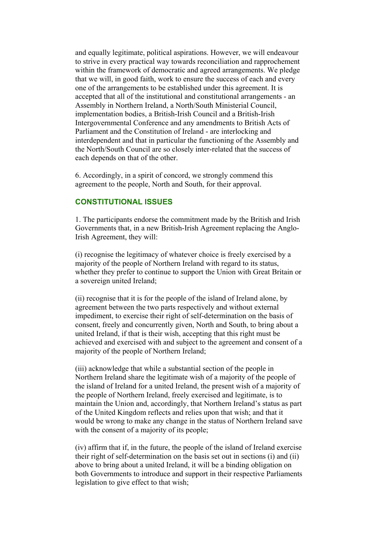and equally legitimate, political aspirations. However, we will endeavour to strive in every practical way towards reconciliation and rapprochement within the framework of democratic and agreed arrangements. We pledge that we will, in good faith, work to ensure the success of each and every one of the arrangements to be established under this agreement. It is accepted that all of the institutional and constitutional arrangements - an Assembly in Northern Ireland, a North/South Ministerial Council, implementation bodies, a British-Irish Council and a British-Irish Intergovernmental Conference and any amendments to British Acts of Parliament and the Constitution of Ireland - are interlocking and interdependent and that in particular the functioning of the Assembly and the North/South Council are so closely inter-related that the success of each depends on that of the other.

6. Accordingly, in a spirit of concord, we strongly commend this agreement to the people, North and South, for their approval.

## **CONSTITUTIONAL ISSUES**

1. The participants endorse the commitment made by the British and Irish Governments that, in a new British-Irish Agreement replacing the Anglo-Irish Agreement, they will:

(i) recognise the legitimacy of whatever choice is freely exercised by a majority of the people of Northern Ireland with regard to its status, whether they prefer to continue to support the Union with Great Britain or a sovereign united Ireland;

(ii) recognise that it is for the people of the island of Ireland alone, by agreement between the two parts respectively and without external impediment, to exercise their right of self-determination on the basis of consent, freely and concurrently given, North and South, to bring about a united Ireland, if that is their wish, accepting that this right must be achieved and exercised with and subject to the agreement and consent of a majority of the people of Northern Ireland;

(iii) acknowledge that while a substantial section of the people in Northern Ireland share the legitimate wish of a majority of the people of the island of Ireland for a united Ireland, the present wish of a majority of the people of Northern Ireland, freely exercised and legitimate, is to maintain the Union and, accordingly, that Northern Ireland's status as part of the United Kingdom reflects and relies upon that wish; and that it would be wrong to make any change in the status of Northern Ireland save with the consent of a majority of its people;

(iv) affirm that if, in the future, the people of the island of Ireland exercise their right of self-determination on the basis set out in sections (i) and (ii) above to bring about a united Ireland, it will be a binding obligation on both Governments to introduce and support in their respective Parliaments legislation to give effect to that wish;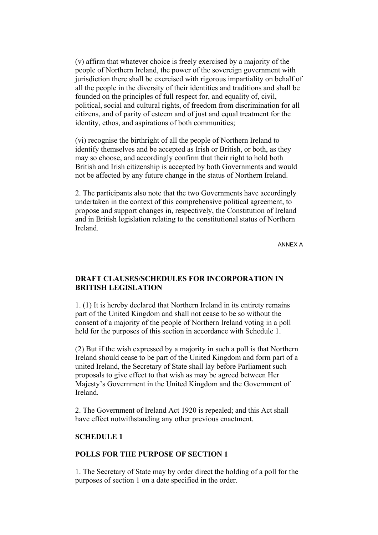(v) affirm that whatever choice is freely exercised by a majority of the people of Northern Ireland, the power of the sovereign government with jurisdiction there shall be exercised with rigorous impartiality on behalf of all the people in the diversity of their identities and traditions and shall be founded on the principles of full respect for, and equality of, civil, political, social and cultural rights, of freedom from discrimination for all citizens, and of parity of esteem and of just and equal treatment for the identity, ethos, and aspirations of both communities;

(vi) recognise the birthright of all the people of Northern Ireland to identify themselves and be accepted as Irish or British, or both, as they may so choose, and accordingly confirm that their right to hold both British and Irish citizenship is accepted by both Governments and would not be affected by any future change in the status of Northern Ireland.

2. The participants also note that the two Governments have accordingly undertaken in the context of this comprehensive political agreement, to propose and support changes in, respectively, the Constitution of Ireland and in British legislation relating to the constitutional status of Northern Ireland.

ANNEX A

## **DRAFT CLAUSES/SCHEDULES FOR INCORPORATION IN BRITISH LEGISLATION**

1. (1) It is hereby declared that Northern Ireland in its entirety remains part of the United Kingdom and shall not cease to be so without the consent of a majority of the people of Northern Ireland voting in a poll held for the purposes of this section in accordance with Schedule 1.

(2) But if the wish expressed by a majority in such a poll is that Northern Ireland should cease to be part of the United Kingdom and form part of a united Ireland, the Secretary of State shall lay before Parliament such proposals to give effect to that wish as may be agreed between Her Majesty's Government in the United Kingdom and the Government of Ireland.

2. The Government of Ireland Act 1920 is repealed; and this Act shall have effect notwithstanding any other previous enactment.

#### **SCHEDULE 1**

#### **POLLS FOR THE PURPOSE OF SECTION 1**

1. The Secretary of State may by order direct the holding of a poll for the purposes of section 1 on a date specified in the order.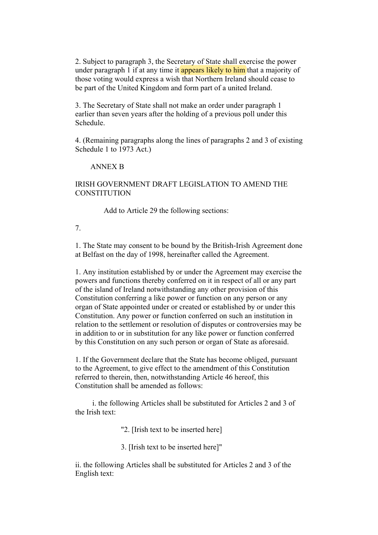2. Subject to paragraph 3, the Secretary of State shall exercise the power under paragraph 1 if at any time it **appears likely to him** that a majority of those voting would express a wish that Northern Ireland should cease to be part of the United Kingdom and form part of a united Ireland.

3. The Secretary of State shall not make an order under paragraph 1 earlier than seven years after the holding of a previous poll under this Schedule.

4. (Remaining paragraphs along the lines of paragraphs 2 and 3 of existing Schedule 1 to 1973 Act.)

#### ANNEX B

## IRISH GOVERNMENT DRAFT LEGISLATION TO AMEND THE **CONSTITUTION**

Add to Article 29 the following sections:

7.

1. The State may consent to be bound by the British-Irish Agreement done at Belfast on the day of 1998, hereinafter called the Agreement.

1. Any institution established by or under the Agreement may exercise the powers and functions thereby conferred on it in respect of all or any part of the island of Ireland notwithstanding any other provision of this Constitution conferring a like power or function on any person or any organ of State appointed under or created or established by or under this Constitution. Any power or function conferred on such an institution in relation to the settlement or resolution of disputes or controversies may be in addition to or in substitution for any like power or function conferred by this Constitution on any such person or organ of State as aforesaid.

1. If the Government declare that the State has become obliged, pursuant to the Agreement, to give effect to the amendment of this Constitution referred to therein, then, notwithstanding Article 46 hereof, this Constitution shall be amended as follows:

 i. the following Articles shall be substituted for Articles 2 and 3 of the Irish text:

"2. [Irish text to be inserted here]

3. [Irish text to be inserted here]"

ii. the following Articles shall be substituted for Articles 2 and 3 of the English text: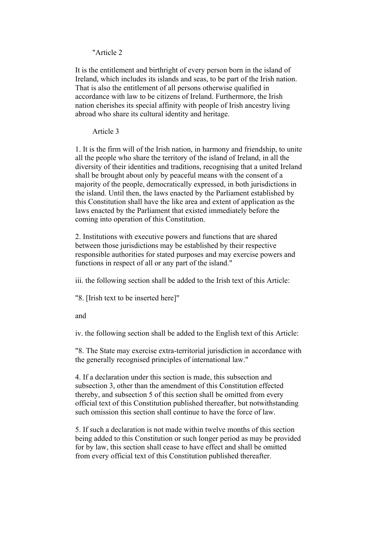#### "Article 2

It is the entitlement and birthright of every person born in the island of Ireland, which includes its islands and seas, to be part of the Irish nation. That is also the entitlement of all persons otherwise qualified in accordance with law to be citizens of Ireland. Furthermore, the Irish nation cherishes its special affinity with people of Irish ancestry living abroad who share its cultural identity and heritage.

#### Article 3

1. It is the firm will of the Irish nation, in harmony and friendship, to unite all the people who share the territory of the island of Ireland, in all the diversity of their identities and traditions, recognising that a united Ireland shall be brought about only by peaceful means with the consent of a majority of the people, democratically expressed, in both jurisdictions in the island. Until then, the laws enacted by the Parliament established by this Constitution shall have the like area and extent of application as the laws enacted by the Parliament that existed immediately before the coming into operation of this Constitution.

2. Institutions with executive powers and functions that are shared between those jurisdictions may be established by their respective responsible authorities for stated purposes and may exercise powers and functions in respect of all or any part of the island."

iii. the following section shall be added to the Irish text of this Article:

"8. [Irish text to be inserted here]"

and

iv. the following section shall be added to the English text of this Article:

"8. The State may exercise extra-territorial jurisdiction in accordance with the generally recognised principles of international law."

4. If a declaration under this section is made, this subsection and subsection 3, other than the amendment of this Constitution effected thereby, and subsection 5 of this section shall be omitted from every official text of this Constitution published thereafter, but notwithstanding such omission this section shall continue to have the force of law.

5. If such a declaration is not made within twelve months of this section being added to this Constitution or such longer period as may be provided for by law, this section shall cease to have effect and shall be omitted from every official text of this Constitution published thereafter.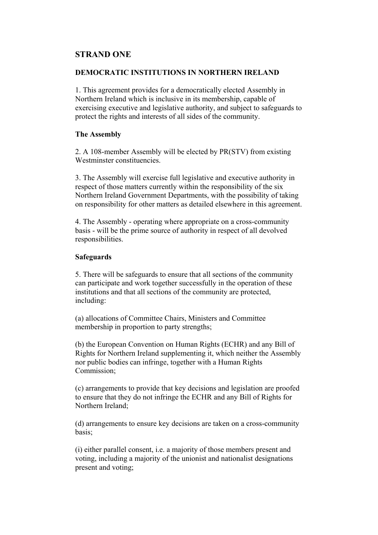# **STRAND ONE**

#### **DEMOCRATIC INSTITUTIONS IN NORTHERN IRELAND**

1. This agreement provides for a democratically elected Assembly in Northern Ireland which is inclusive in its membership, capable of exercising executive and legislative authority, and subject to safeguards to protect the rights and interests of all sides of the community.

#### **The Assembly**

2. A 108-member Assembly will be elected by PR(STV) from existing Westminster constituencies.

3. The Assembly will exercise full legislative and executive authority in respect of those matters currently within the responsibility of the six Northern Ireland Government Departments, with the possibility of taking on responsibility for other matters as detailed elsewhere in this agreement.

4. The Assembly - operating where appropriate on a cross-community basis - will be the prime source of authority in respect of all devolved responsibilities.

#### **Safeguards**

5. There will be safeguards to ensure that all sections of the community can participate and work together successfully in the operation of these institutions and that all sections of the community are protected, including:

(a) allocations of Committee Chairs, Ministers and Committee membership in proportion to party strengths;

(b) the European Convention on Human Rights (ECHR) and any Bill of Rights for Northern Ireland supplementing it, which neither the Assembly nor public bodies can infringe, together with a Human Rights Commission;

(c) arrangements to provide that key decisions and legislation are proofed to ensure that they do not infringe the ECHR and any Bill of Rights for Northern Ireland;

(d) arrangements to ensure key decisions are taken on a cross-community basis;

(i) either parallel consent, i.e. a majority of those members present and voting, including a majority of the unionist and nationalist designations present and voting;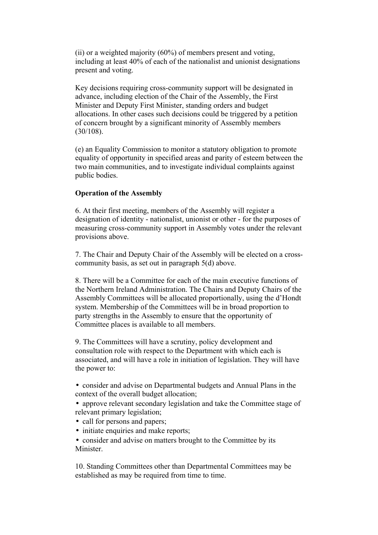(ii) or a weighted majority (60%) of members present and voting, including at least 40% of each of the nationalist and unionist designations present and voting.

Key decisions requiring cross-community support will be designated in advance, including election of the Chair of the Assembly, the First Minister and Deputy First Minister, standing orders and budget allocations. In other cases such decisions could be triggered by a petition of concern brought by a significant minority of Assembly members (30/108).

(e) an Equality Commission to monitor a statutory obligation to promote equality of opportunity in specified areas and parity of esteem between the two main communities, and to investigate individual complaints against public bodies.

## **Operation of the Assembly**

6. At their first meeting, members of the Assembly will register a designation of identity - nationalist, unionist or other - for the purposes of measuring cross-community support in Assembly votes under the relevant provisions above.

7. The Chair and Deputy Chair of the Assembly will be elected on a crosscommunity basis, as set out in paragraph 5(d) above.

8. There will be a Committee for each of the main executive functions of the Northern Ireland Administration. The Chairs and Deputy Chairs of the Assembly Committees will be allocated proportionally, using the d'Hondt system. Membership of the Committees will be in broad proportion to party strengths in the Assembly to ensure that the opportunity of Committee places is available to all members.

9. The Committees will have a scrutiny, policy development and consultation role with respect to the Department with which each is associated, and will have a role in initiation of legislation. They will have the power to:

• consider and advise on Departmental budgets and Annual Plans in the context of the overall budget allocation;

• approve relevant secondary legislation and take the Committee stage of relevant primary legislation;

- call for persons and papers;
- initiate enquiries and make reports;
- consider and advise on matters brought to the Committee by its Minister.

10. Standing Committees other than Departmental Committees may be established as may be required from time to time.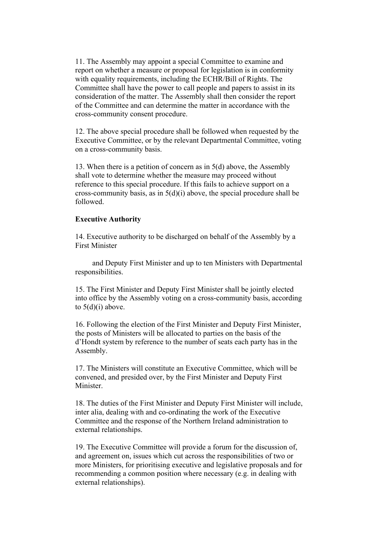11. The Assembly may appoint a special Committee to examine and report on whether a measure or proposal for legislation is in conformity with equality requirements, including the ECHR/Bill of Rights. The Committee shall have the power to call people and papers to assist in its consideration of the matter. The Assembly shall then consider the report of the Committee and can determine the matter in accordance with the cross-community consent procedure.

12. The above special procedure shall be followed when requested by the Executive Committee, or by the relevant Departmental Committee, voting on a cross-community basis.

13. When there is a petition of concern as in 5(d) above, the Assembly shall vote to determine whether the measure may proceed without reference to this special procedure. If this fails to achieve support on a cross-community basis, as in  $5(d)(i)$  above, the special procedure shall be followed.

## **Executive Authority**

14. Executive authority to be discharged on behalf of the Assembly by a First Minister

 and Deputy First Minister and up to ten Ministers with Departmental responsibilities.

15. The First Minister and Deputy First Minister shall be jointly elected into office by the Assembly voting on a cross-community basis, according to  $5(d)(i)$  above.

16. Following the election of the First Minister and Deputy First Minister, the posts of Ministers will be allocated to parties on the basis of the d'Hondt system by reference to the number of seats each party has in the Assembly.

17. The Ministers will constitute an Executive Committee, which will be convened, and presided over, by the First Minister and Deputy First Minister.

18. The duties of the First Minister and Deputy First Minister will include, inter alia, dealing with and co-ordinating the work of the Executive Committee and the response of the Northern Ireland administration to external relationships.

19. The Executive Committee will provide a forum for the discussion of, and agreement on, issues which cut across the responsibilities of two or more Ministers, for prioritising executive and legislative proposals and for recommending a common position where necessary (e.g. in dealing with external relationships).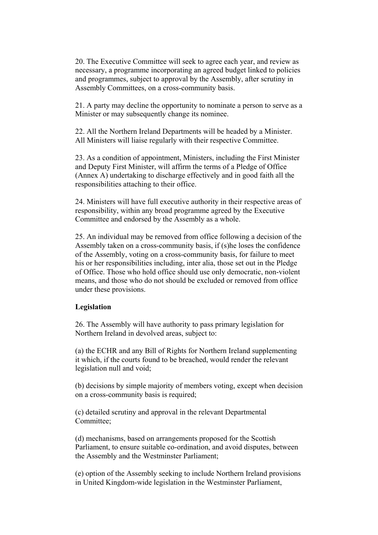20. The Executive Committee will seek to agree each year, and review as necessary, a programme incorporating an agreed budget linked to policies and programmes, subject to approval by the Assembly, after scrutiny in Assembly Committees, on a cross-community basis.

21. A party may decline the opportunity to nominate a person to serve as a Minister or may subsequently change its nominee.

22. All the Northern Ireland Departments will be headed by a Minister. All Ministers will liaise regularly with their respective Committee.

23. As a condition of appointment, Ministers, including the First Minister and Deputy First Minister, will affirm the terms of a Pledge of Office (Annex A) undertaking to discharge effectively and in good faith all the responsibilities attaching to their office.

24. Ministers will have full executive authority in their respective areas of responsibility, within any broad programme agreed by the Executive Committee and endorsed by the Assembly as a whole.

25. An individual may be removed from office following a decision of the Assembly taken on a cross-community basis, if (s)he loses the confidence of the Assembly, voting on a cross-community basis, for failure to meet his or her responsibilities including, inter alia, those set out in the Pledge of Office. Those who hold office should use only democratic, non-violent means, and those who do not should be excluded or removed from office under these provisions.

#### **Legislation**

26. The Assembly will have authority to pass primary legislation for Northern Ireland in devolved areas, subject to:

(a) the ECHR and any Bill of Rights for Northern Ireland supplementing it which, if the courts found to be breached, would render the relevant legislation null and void;

(b) decisions by simple majority of members voting, except when decision on a cross-community basis is required;

(c) detailed scrutiny and approval in the relevant Departmental Committee;

(d) mechanisms, based on arrangements proposed for the Scottish Parliament, to ensure suitable co-ordination, and avoid disputes, between the Assembly and the Westminster Parliament;

(e) option of the Assembly seeking to include Northern Ireland provisions in United Kingdom-wide legislation in the Westminster Parliament,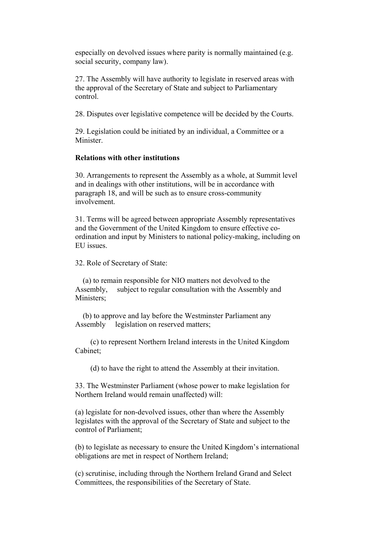especially on devolved issues where parity is normally maintained (e.g. social security, company law).

27. The Assembly will have authority to legislate in reserved areas with the approval of the Secretary of State and subject to Parliamentary control.

28. Disputes over legislative competence will be decided by the Courts.

29. Legislation could be initiated by an individual, a Committee or a Minister.

#### **Relations with other institutions**

30. Arrangements to represent the Assembly as a whole, at Summit level and in dealings with other institutions, will be in accordance with paragraph 18, and will be such as to ensure cross-community involvement.

31. Terms will be agreed between appropriate Assembly representatives and the Government of the United Kingdom to ensure effective coordination and input by Ministers to national policy-making, including on EU issues.

32. Role of Secretary of State:

 (a) to remain responsible for NIO matters not devolved to the Assembly, subject to regular consultation with the Assembly and Ministers:

 (b) to approve and lay before the Westminster Parliament any Assembly legislation on reserved matters;

 (c) to represent Northern Ireland interests in the United Kingdom Cabinet;

(d) to have the right to attend the Assembly at their invitation.

33. The Westminster Parliament (whose power to make legislation for Northern Ireland would remain unaffected) will:

(a) legislate for non-devolved issues, other than where the Assembly legislates with the approval of the Secretary of State and subject to the control of Parliament;

(b) to legislate as necessary to ensure the United Kingdom's international obligations are met in respect of Northern Ireland;

(c) scrutinise, including through the Northern Ireland Grand and Select Committees, the responsibilities of the Secretary of State.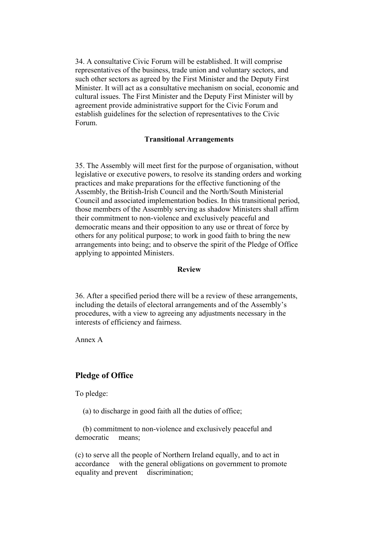34. A consultative Civic Forum will be established. It will comprise representatives of the business, trade union and voluntary sectors, and such other sectors as agreed by the First Minister and the Deputy First Minister. It will act as a consultative mechanism on social, economic and cultural issues. The First Minister and the Deputy First Minister will by agreement provide administrative support for the Civic Forum and establish guidelines for the selection of representatives to the Civic Forum.

#### **Transitional Arrangements**

35. The Assembly will meet first for the purpose of organisation, without legislative or executive powers, to resolve its standing orders and working practices and make preparations for the effective functioning of the Assembly, the British-Irish Council and the North/South Ministerial Council and associated implementation bodies. In this transitional period, those members of the Assembly serving as shadow Ministers shall affirm their commitment to non-violence and exclusively peaceful and democratic means and their opposition to any use or threat of force by others for any political purpose; to work in good faith to bring the new arrangements into being; and to observe the spirit of the Pledge of Office applying to appointed Ministers.

#### **Review**

36. After a specified period there will be a review of these arrangements, including the details of electoral arrangements and of the Assembly's procedures, with a view to agreeing any adjustments necessary in the interests of efficiency and fairness.

Annex A

## **Pledge of Office**

To pledge:

(a) to discharge in good faith all the duties of office;

 (b) commitment to non-violence and exclusively peaceful and democratic means;

(c) to serve all the people of Northern Ireland equally, and to act in accordance with the general obligations on government to promote equality and prevent discrimination;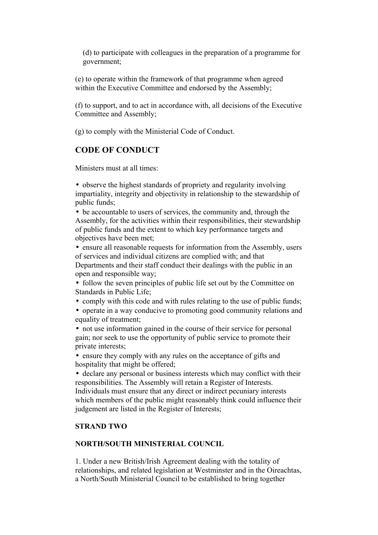(d) to participate with colleagues in the preparation of a programme for government;

(e) to operate within the framework of that programme when agreed within the Executive Committee and endorsed by the Assembly:

(f) to support, and to act in accordance with, all decisions of the Executive Committee and Assembly;

(g) to comply with the Ministerial Code of Conduct.

# **CODE OF CONDUCT**

Ministers must at all times:

• observe the highest standards of propriety and regularity involving impartiality, integrity and objectivity in relationship to the stewardship of public funds;

• be accountable to users of services, the community and, through the Assembly, for the activities within their responsibilities, their stewardship of public funds and the extent to which key performance targets and objectives have been met;

• ensure all reasonable requests for information from the Assembly, users of services and individual citizens are complied with; and that Departments and their staff conduct their dealings with the public in an open and responsible way;

• follow the seven principles of public life set out by the Committee on Standards in Public Life;

- comply with this code and with rules relating to the use of public funds;
- operate in a way conducive to promoting good community relations and equality of treatment;

• not use information gained in the course of their service for personal gain; nor seek to use the opportunity of public service to promote their private interests;

• ensure they comply with any rules on the acceptance of gifts and hospitality that might be offered;

• declare any personal or business interests which may conflict with their responsibilities. The Assembly will retain a Register of Interests. Individuals must ensure that any direct or indirect pecuniary interests which members of the public might reasonably think could influence their judgement are listed in the Register of Interests;

## **STRAND TWO**

## **NORTH/SOUTH MINISTERIAL COUNCIL**

1. Under a new British/Irish Agreement dealing with the totality of relationships, and related legislation at Westminster and in the Oireachtas, a North/South Ministerial Council to be established to bring together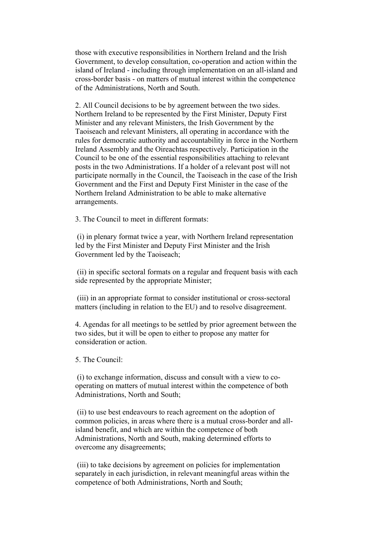those with executive responsibilities in Northern Ireland and the Irish Government, to develop consultation, co-operation and action within the island of Ireland - including through implementation on an all-island and cross-border basis - on matters of mutual interest within the competence of the Administrations, North and South.

2. All Council decisions to be by agreement between the two sides. Northern Ireland to be represented by the First Minister, Deputy First Minister and any relevant Ministers, the Irish Government by the Taoiseach and relevant Ministers, all operating in accordance with the rules for democratic authority and accountability in force in the Northern Ireland Assembly and the Oireachtas respectively. Participation in the Council to be one of the essential responsibilities attaching to relevant posts in the two Administrations. If a holder of a relevant post will not participate normally in the Council, the Taoiseach in the case of the Irish Government and the First and Deputy First Minister in the case of the Northern Ireland Administration to be able to make alternative arrangements.

3. The Council to meet in different formats:

 (i) in plenary format twice a year, with Northern Ireland representation led by the First Minister and Deputy First Minister and the Irish Government led by the Taoiseach;

 (ii) in specific sectoral formats on a regular and frequent basis with each side represented by the appropriate Minister;

 (iii) in an appropriate format to consider institutional or cross-sectoral matters (including in relation to the EU) and to resolve disagreement.

4. Agendas for all meetings to be settled by prior agreement between the two sides, but it will be open to either to propose any matter for consideration or action.

5. The Council:

 (i) to exchange information, discuss and consult with a view to cooperating on matters of mutual interest within the competence of both Administrations, North and South;

 (ii) to use best endeavours to reach agreement on the adoption of common policies, in areas where there is a mutual cross-border and allisland benefit, and which are within the competence of both Administrations, North and South, making determined efforts to overcome any disagreements;

 (iii) to take decisions by agreement on policies for implementation separately in each jurisdiction, in relevant meaningful areas within the competence of both Administrations, North and South;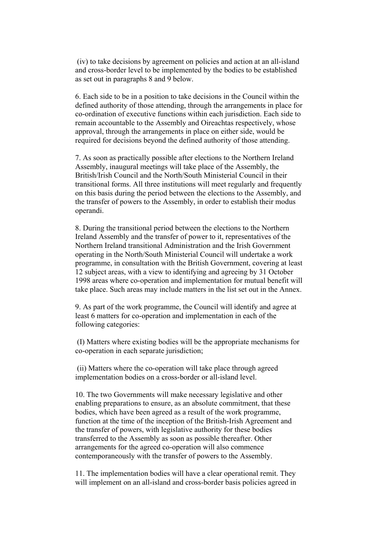(iv) to take decisions by agreement on policies and action at an all-island and cross-border level to be implemented by the bodies to be established as set out in paragraphs 8 and 9 below.

6. Each side to be in a position to take decisions in the Council within the defined authority of those attending, through the arrangements in place for co-ordination of executive functions within each jurisdiction. Each side to remain accountable to the Assembly and Oireachtas respectively, whose approval, through the arrangements in place on either side, would be required for decisions beyond the defined authority of those attending.

7. As soon as practically possible after elections to the Northern Ireland Assembly, inaugural meetings will take place of the Assembly, the British/Irish Council and the North/South Ministerial Council in their transitional forms. All three institutions will meet regularly and frequently on this basis during the period between the elections to the Assembly, and the transfer of powers to the Assembly, in order to establish their modus operandi.

8. During the transitional period between the elections to the Northern Ireland Assembly and the transfer of power to it, representatives of the Northern Ireland transitional Administration and the Irish Government operating in the North/South Ministerial Council will undertake a work programme, in consultation with the British Government, covering at least 12 subject areas, with a view to identifying and agreeing by 31 October 1998 areas where co-operation and implementation for mutual benefit will take place. Such areas may include matters in the list set out in the Annex.

9. As part of the work programme, the Council will identify and agree at least 6 matters for co-operation and implementation in each of the following categories:

 (I) Matters where existing bodies will be the appropriate mechanisms for co-operation in each separate jurisdiction;

 (ii) Matters where the co-operation will take place through agreed implementation bodies on a cross-border or all-island level.

10. The two Governments will make necessary legislative and other enabling preparations to ensure, as an absolute commitment, that these bodies, which have been agreed as a result of the work programme, function at the time of the inception of the British-Irish Agreement and the transfer of powers, with legislative authority for these bodies transferred to the Assembly as soon as possible thereafter. Other arrangements for the agreed co-operation will also commence contemporaneously with the transfer of powers to the Assembly.

11. The implementation bodies will have a clear operational remit. They will implement on an all-island and cross-border basis policies agreed in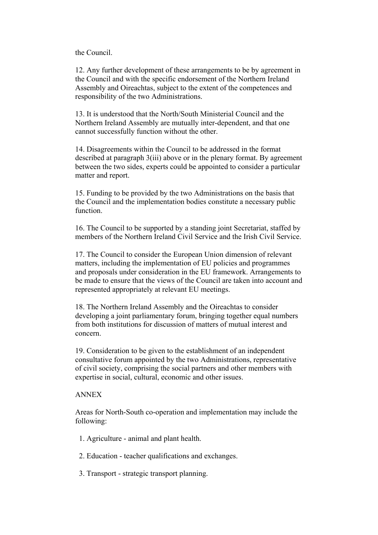the Council.

12. Any further development of these arrangements to be by agreement in the Council and with the specific endorsement of the Northern Ireland Assembly and Oireachtas, subject to the extent of the competences and responsibility of the two Administrations.

13. It is understood that the North/South Ministerial Council and the Northern Ireland Assembly are mutually inter-dependent, and that one cannot successfully function without the other.

14. Disagreements within the Council to be addressed in the format described at paragraph 3(iii) above or in the plenary format. By agreement between the two sides, experts could be appointed to consider a particular matter and report.

15. Funding to be provided by the two Administrations on the basis that the Council and the implementation bodies constitute a necessary public function.

16. The Council to be supported by a standing joint Secretariat, staffed by members of the Northern Ireland Civil Service and the Irish Civil Service.

17. The Council to consider the European Union dimension of relevant matters, including the implementation of EU policies and programmes and proposals under consideration in the EU framework. Arrangements to be made to ensure that the views of the Council are taken into account and represented appropriately at relevant EU meetings.

18. The Northern Ireland Assembly and the Oireachtas to consider developing a joint parliamentary forum, bringing together equal numbers from both institutions for discussion of matters of mutual interest and concern.

19. Consideration to be given to the establishment of an independent consultative forum appointed by the two Administrations, representative of civil society, comprising the social partners and other members with expertise in social, cultural, economic and other issues.

#### ANNEX

Areas for North-South co-operation and implementation may include the following:

- 1. Agriculture animal and plant health.
- 2. Education teacher qualifications and exchanges.
- 3. Transport strategic transport planning.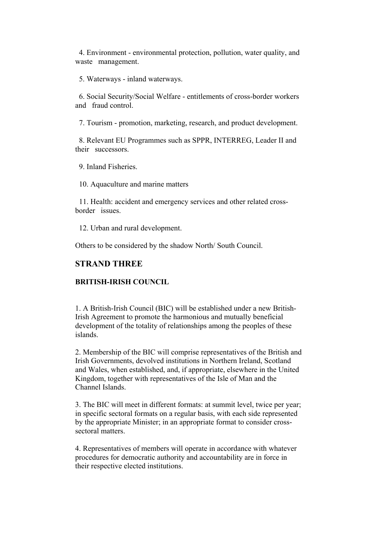4. Environment - environmental protection, pollution, water quality, and waste management.

5. Waterways - inland waterways.

 6. Social Security/Social Welfare - entitlements of cross-border workers and fraud control.

7. Tourism - promotion, marketing, research, and product development.

 8. Relevant EU Programmes such as SPPR, INTERREG, Leader II and their successors.

9. Inland Fisheries.

10. Aquaculture and marine matters

 11. Health: accident and emergency services and other related crossborder issues.

12. Urban and rural development.

Others to be considered by the shadow North/ South Council.

## **STRAND THREE**

## **BRITISH-IRISH COUNCIL**

1. A British-Irish Council (BIC) will be established under a new British-Irish Agreement to promote the harmonious and mutually beneficial development of the totality of relationships among the peoples of these islands.

2. Membership of the BIC will comprise representatives of the British and Irish Governments, devolved institutions in Northern Ireland, Scotland and Wales, when established, and, if appropriate, elsewhere in the United Kingdom, together with representatives of the Isle of Man and the Channel Islands.

3. The BIC will meet in different formats: at summit level, twice per year; in specific sectoral formats on a regular basis, with each side represented by the appropriate Minister; in an appropriate format to consider crosssectoral matters.

4. Representatives of members will operate in accordance with whatever procedures for democratic authority and accountability are in force in their respective elected institutions.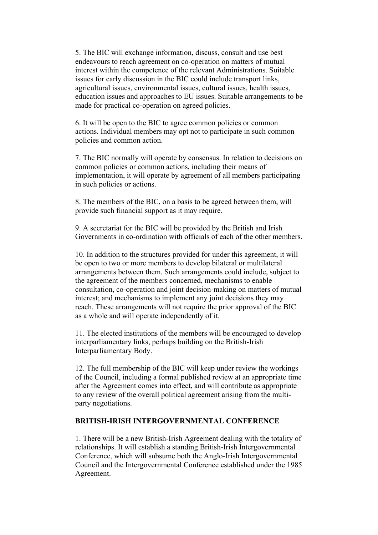5. The BIC will exchange information, discuss, consult and use best endeavours to reach agreement on co-operation on matters of mutual interest within the competence of the relevant Administrations. Suitable issues for early discussion in the BIC could include transport links, agricultural issues, environmental issues, cultural issues, health issues, education issues and approaches to EU issues. Suitable arrangements to be made for practical co-operation on agreed policies.

6. It will be open to the BIC to agree common policies or common actions. Individual members may opt not to participate in such common policies and common action.

7. The BIC normally will operate by consensus. In relation to decisions on common policies or common actions, including their means of implementation, it will operate by agreement of all members participating in such policies or actions.

8. The members of the BIC, on a basis to be agreed between them, will provide such financial support as it may require.

9. A secretariat for the BIC will be provided by the British and Irish Governments in co-ordination with officials of each of the other members.

10. In addition to the structures provided for under this agreement, it will be open to two or more members to develop bilateral or multilateral arrangements between them. Such arrangements could include, subject to the agreement of the members concerned, mechanisms to enable consultation, co-operation and joint decision-making on matters of mutual interest; and mechanisms to implement any joint decisions they may reach. These arrangements will not require the prior approval of the BIC as a whole and will operate independently of it.

11. The elected institutions of the members will be encouraged to develop interparliamentary links, perhaps building on the British-Irish Interparliamentary Body.

12. The full membership of the BIC will keep under review the workings of the Council, including a formal published review at an appropriate time after the Agreement comes into effect, and will contribute as appropriate to any review of the overall political agreement arising from the multiparty negotiations.

## **BRITISH-IRISH INTERGOVERNMENTAL CONFERENCE**

1. There will be a new British-Irish Agreement dealing with the totality of relationships. It will establish a standing British-Irish Intergovernmental Conference, which will subsume both the Anglo-Irish Intergovernmental Council and the Intergovernmental Conference established under the 1985 Agreement.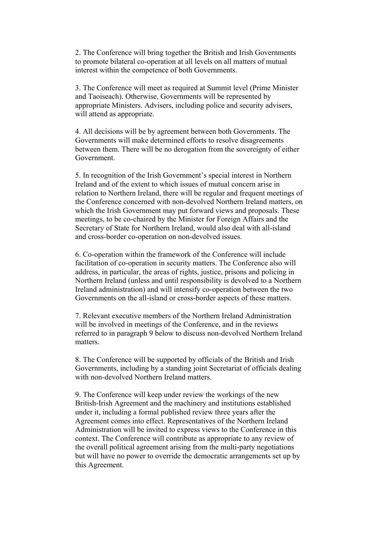2. The Conference will bring together the British and Irish Governments to promote bilateral co-operation at all levels on all matters of mutual interest within the competence of both Governments.

3. The Conference will meet as required at Summit level (Prime Minister and Taoiseach). Otherwise, Governments will be represented by appropriate Ministers. Advisers, including police and security advisers, will attend as appropriate.

4. All decisions will be by agreement between both Governments. The Governments will make determined efforts to resolve disagreements between them. There will be no derogation from the sovereignty of either Government.

5. In recognition of the Irish Government's special interest in Northern Ireland and of the extent to which issues of mutual concern arise in relation to Northern Ireland, there will be regular and frequent meetings of the Conference concerned with non-devolved Northern Ireland matters, on which the Irish Government may put forward views and proposals. These meetings, to be co-chaired by the Minister for Foreign Affairs and the Secretary of State for Northern Ireland, would also deal with all-island and cross-border co-operation on non-devolved issues.

6. Co-operation within the framework of the Conference will include facilitation of co-operation in security matters. The Conference also will address, in particular, the areas of rights, justice, prisons and policing in Northern Ireland (unless and until responsibility is devolved to a Northern Ireland administration) and will intensify co-operation between the two Governments on the all-island or cross-border aspects of these matters.

7. Relevant executive members of the Northern Ireland Administration will be involved in meetings of the Conference, and in the reviews referred to in paragraph 9 below to discuss non-devolved Northern Ireland matters.

8. The Conference will be supported by officials of the British and Irish Governments, including by a standing joint Secretariat of officials dealing with non-devolved Northern Ireland matters.

9. The Conference will keep under review the workings of the new British-Irish Agreement and the machinery and institutions established under it, including a formal published review three years after the Agreement comes into effect. Representatives of the Northern Ireland Administration will be invited to express views to the Conference in this context. The Conference will contribute as appropriate to any review of the overall political agreement arising from the multi-party negotiations but will have no power to override the democratic arrangements set up by this Agreement.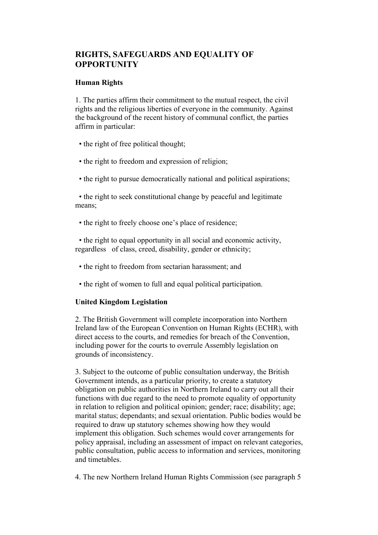# **RIGHTS, SAFEGUARDS AND EQUALITY OF OPPORTUNITY**

## **Human Rights**

1. The parties affirm their commitment to the mutual respect, the civil rights and the religious liberties of everyone in the community. Against the background of the recent history of communal conflict, the parties affirm in particular:

- the right of free political thought:
- the right to freedom and expression of religion;
- the right to pursue democratically national and political aspirations;

 • the right to seek constitutional change by peaceful and legitimate means;

• the right to freely choose one's place of residence;

 • the right to equal opportunity in all social and economic activity, regardless of class, creed, disability, gender or ethnicity;

- the right to freedom from sectarian harassment; and
- the right of women to full and equal political participation.

## **United Kingdom Legislation**

2. The British Government will complete incorporation into Northern Ireland law of the European Convention on Human Rights (ECHR), with direct access to the courts, and remedies for breach of the Convention, including power for the courts to overrule Assembly legislation on grounds of inconsistency.

3. Subject to the outcome of public consultation underway, the British Government intends, as a particular priority, to create a statutory obligation on public authorities in Northern Ireland to carry out all their functions with due regard to the need to promote equality of opportunity in relation to religion and political opinion; gender; race; disability; age; marital status; dependants; and sexual orientation. Public bodies would be required to draw up statutory schemes showing how they would implement this obligation. Such schemes would cover arrangements for policy appraisal, including an assessment of impact on relevant categories, public consultation, public access to information and services, monitoring and timetables.

4. The new Northern Ireland Human Rights Commission (see paragraph 5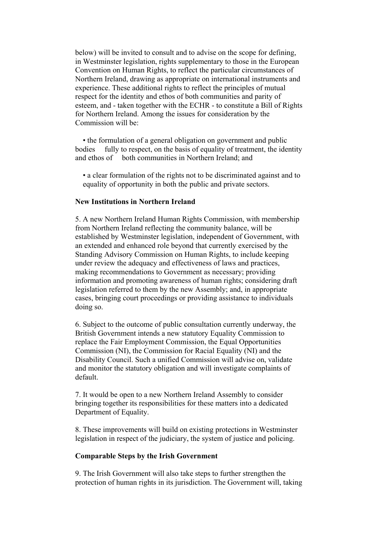below) will be invited to consult and to advise on the scope for defining, in Westminster legislation, rights supplementary to those in the European Convention on Human Rights, to reflect the particular circumstances of Northern Ireland, drawing as appropriate on international instruments and experience. These additional rights to reflect the principles of mutual respect for the identity and ethos of both communities and parity of esteem, and - taken together with the ECHR - to constitute a Bill of Rights for Northern Ireland. Among the issues for consideration by the Commission will be:

 • the formulation of a general obligation on government and public bodies fully to respect, on the basis of equality of treatment, the identity and ethos of both communities in Northern Ireland; and

 • a clear formulation of the rights not to be discriminated against and to equality of opportunity in both the public and private sectors.

#### **New Institutions in Northern Ireland**

5. A new Northern Ireland Human Rights Commission, with membership from Northern Ireland reflecting the community balance, will be established by Westminster legislation, independent of Government, with an extended and enhanced role beyond that currently exercised by the Standing Advisory Commission on Human Rights, to include keeping under review the adequacy and effectiveness of laws and practices, making recommendations to Government as necessary; providing information and promoting awareness of human rights; considering draft legislation referred to them by the new Assembly; and, in appropriate cases, bringing court proceedings or providing assistance to individuals doing so.

6. Subject to the outcome of public consultation currently underway, the British Government intends a new statutory Equality Commission to replace the Fair Employment Commission, the Equal Opportunities Commission (NI), the Commission for Racial Equality (NI) and the Disability Council. Such a unified Commission will advise on, validate and monitor the statutory obligation and will investigate complaints of default.

7. It would be open to a new Northern Ireland Assembly to consider bringing together its responsibilities for these matters into a dedicated Department of Equality.

8. These improvements will build on existing protections in Westminster legislation in respect of the judiciary, the system of justice and policing.

#### **Comparable Steps by the Irish Government**

9. The Irish Government will also take steps to further strengthen the protection of human rights in its jurisdiction. The Government will, taking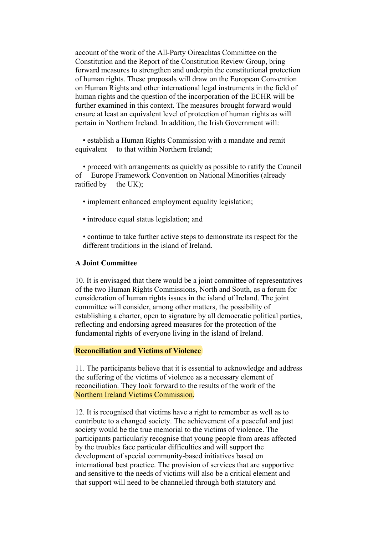account of the work of the All-Party Oireachtas Committee on the Constitution and the Report of the Constitution Review Group, bring forward measures to strengthen and underpin the constitutional protection of human rights. These proposals will draw on the European Convention on Human Rights and other international legal instruments in the field of human rights and the question of the incorporation of the ECHR will be further examined in this context. The measures brought forward would ensure at least an equivalent level of protection of human rights as will pertain in Northern Ireland. In addition, the Irish Government will:

 • establish a Human Rights Commission with a mandate and remit equivalent to that within Northern Ireland;

 • proceed with arrangements as quickly as possible to ratify the Council of Europe Framework Convention on National Minorities (already ratified by the UK);

- implement enhanced employment equality legislation;
- introduce equal status legislation; and

 • continue to take further active steps to demonstrate its respect for the different traditions in the island of Ireland.

#### **A Joint Committee**

10. It is envisaged that there would be a joint committee of representatives of the two Human Rights Commissions, North and South, as a forum for consideration of human rights issues in the island of Ireland. The joint committee will consider, among other matters, the possibility of establishing a charter, open to signature by all democratic political parties, reflecting and endorsing agreed measures for the protection of the fundamental rights of everyone living in the island of Ireland.

#### **Reconciliation and Victims of Violence**

11. The participants believe that it is essential to acknowledge and address the suffering of the victims of violence as a necessary element of reconciliation. They look forward to the results of the work of the Northern Ireland Victims Commission.

12. It is recognised that victims have a right to remember as well as to contribute to a changed society. The achievement of a peaceful and just society would be the true memorial to the victims of violence. The participants particularly recognise that young people from areas affected by the troubles face particular difficulties and will support the development of special community-based initiatives based on international best practice. The provision of services that are supportive and sensitive to the needs of victims will also be a critical element and that support will need to be channelled through both statutory and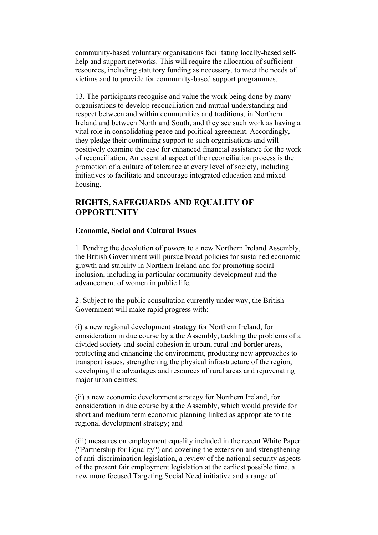community-based voluntary organisations facilitating locally-based selfhelp and support networks. This will require the allocation of sufficient resources, including statutory funding as necessary, to meet the needs of victims and to provide for community-based support programmes.

13. The participants recognise and value the work being done by many organisations to develop reconciliation and mutual understanding and respect between and within communities and traditions, in Northern Ireland and between North and South, and they see such work as having a vital role in consolidating peace and political agreement. Accordingly, they pledge their continuing support to such organisations and will positively examine the case for enhanced financial assistance for the work of reconciliation. An essential aspect of the reconciliation process is the promotion of a culture of tolerance at every level of society, including initiatives to facilitate and encourage integrated education and mixed housing.

# **RIGHTS, SAFEGUARDS AND EQUALITY OF OPPORTUNITY**

## **Economic, Social and Cultural Issues**

1. Pending the devolution of powers to a new Northern Ireland Assembly, the British Government will pursue broad policies for sustained economic growth and stability in Northern Ireland and for promoting social inclusion, including in particular community development and the advancement of women in public life.

2. Subject to the public consultation currently under way, the British Government will make rapid progress with:

(i) a new regional development strategy for Northern Ireland, for consideration in due course by a the Assembly, tackling the problems of a divided society and social cohesion in urban, rural and border areas, protecting and enhancing the environment, producing new approaches to transport issues, strengthening the physical infrastructure of the region, developing the advantages and resources of rural areas and rejuvenating major urban centres;

(ii) a new economic development strategy for Northern Ireland, for consideration in due course by a the Assembly, which would provide for short and medium term economic planning linked as appropriate to the regional development strategy; and

(iii) measures on employment equality included in the recent White Paper ("Partnership for Equality") and covering the extension and strengthening of anti-discrimination legislation, a review of the national security aspects of the present fair employment legislation at the earliest possible time, a new more focused Targeting Social Need initiative and a range of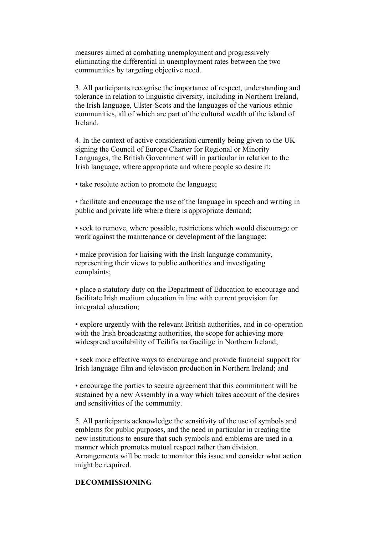measures aimed at combating unemployment and progressively eliminating the differential in unemployment rates between the two communities by targeting objective need.

3. All participants recognise the importance of respect, understanding and tolerance in relation to linguistic diversity, including in Northern Ireland, the Irish language, Ulster-Scots and the languages of the various ethnic communities, all of which are part of the cultural wealth of the island of Ireland.

4. In the context of active consideration currently being given to the UK signing the Council of Europe Charter for Regional or Minority Languages, the British Government will in particular in relation to the Irish language, where appropriate and where people so desire it:

• take resolute action to promote the language;

• facilitate and encourage the use of the language in speech and writing in public and private life where there is appropriate demand;

• seek to remove, where possible, restrictions which would discourage or work against the maintenance or development of the language;

• make provision for liaising with the Irish language community, representing their views to public authorities and investigating complaints;

• place a statutory duty on the Department of Education to encourage and facilitate Irish medium education in line with current provision for integrated education;

• explore urgently with the relevant British authorities, and in co-operation with the Irish broadcasting authorities, the scope for achieving more widespread availability of Teilifis na Gaeilige in Northern Ireland;

• seek more effective ways to encourage and provide financial support for Irish language film and television production in Northern Ireland; and

• encourage the parties to secure agreement that this commitment will be sustained by a new Assembly in a way which takes account of the desires and sensitivities of the community.

5. All participants acknowledge the sensitivity of the use of symbols and emblems for public purposes, and the need in particular in creating the new institutions to ensure that such symbols and emblems are used in a manner which promotes mutual respect rather than division. Arrangements will be made to monitor this issue and consider what action might be required.

#### **DECOMMISSIONING**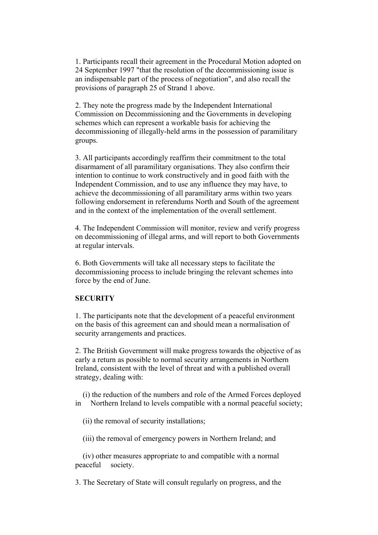1. Participants recall their agreement in the Procedural Motion adopted on 24 September 1997 "that the resolution of the decommissioning issue is an indispensable part of the process of negotiation", and also recall the provisions of paragraph 25 of Strand 1 above.

2. They note the progress made by the Independent International Commission on Decommissioning and the Governments in developing schemes which can represent a workable basis for achieving the decommissioning of illegally-held arms in the possession of paramilitary groups.

3. All participants accordingly reaffirm their commitment to the total disarmament of all paramilitary organisations. They also confirm their intention to continue to work constructively and in good faith with the Independent Commission, and to use any influence they may have, to achieve the decommissioning of all paramilitary arms within two years following endorsement in referendums North and South of the agreement and in the context of the implementation of the overall settlement.

4. The Independent Commission will monitor, review and verify progress on decommissioning of illegal arms, and will report to both Governments at regular intervals.

6. Both Governments will take all necessary steps to facilitate the decommissioning process to include bringing the relevant schemes into force by the end of June.

## **SECURITY**

1. The participants note that the development of a peaceful environment on the basis of this agreement can and should mean a normalisation of security arrangements and practices.

2. The British Government will make progress towards the objective of as early a return as possible to normal security arrangements in Northern Ireland, consistent with the level of threat and with a published overall strategy, dealing with:

 (i) the reduction of the numbers and role of the Armed Forces deployed in Northern Ireland to levels compatible with a normal peaceful society;

(ii) the removal of security installations;

(iii) the removal of emergency powers in Northern Ireland; and

 (iv) other measures appropriate to and compatible with a normal peaceful society.

3. The Secretary of State will consult regularly on progress, and the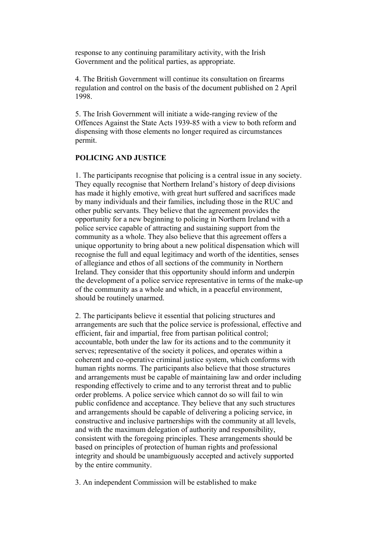response to any continuing paramilitary activity, with the Irish Government and the political parties, as appropriate.

4. The British Government will continue its consultation on firearms regulation and control on the basis of the document published on 2 April 1998.

5. The Irish Government will initiate a wide-ranging review of the Offences Against the State Acts 1939-85 with a view to both reform and dispensing with those elements no longer required as circumstances permit.

## **POLICING AND JUSTICE**

1. The participants recognise that policing is a central issue in any society. They equally recognise that Northern Ireland's history of deep divisions has made it highly emotive, with great hurt suffered and sacrifices made by many individuals and their families, including those in the RUC and other public servants. They believe that the agreement provides the opportunity for a new beginning to policing in Northern Ireland with a police service capable of attracting and sustaining support from the community as a whole. They also believe that this agreement offers a unique opportunity to bring about a new political dispensation which will recognise the full and equal legitimacy and worth of the identities, senses of allegiance and ethos of all sections of the community in Northern Ireland. They consider that this opportunity should inform and underpin the development of a police service representative in terms of the make-up of the community as a whole and which, in a peaceful environment, should be routinely unarmed.

2. The participants believe it essential that policing structures and arrangements are such that the police service is professional, effective and efficient, fair and impartial, free from partisan political control; accountable, both under the law for its actions and to the community it serves; representative of the society it polices, and operates within a coherent and co-operative criminal justice system, which conforms with human rights norms. The participants also believe that those structures and arrangements must be capable of maintaining law and order including responding effectively to crime and to any terrorist threat and to public order problems. A police service which cannot do so will fail to win public confidence and acceptance. They believe that any such structures and arrangements should be capable of delivering a policing service, in constructive and inclusive partnerships with the community at all levels, and with the maximum delegation of authority and responsibility, consistent with the foregoing principles. These arrangements should be based on principles of protection of human rights and professional integrity and should be unambiguously accepted and actively supported by the entire community.

3. An independent Commission will be established to make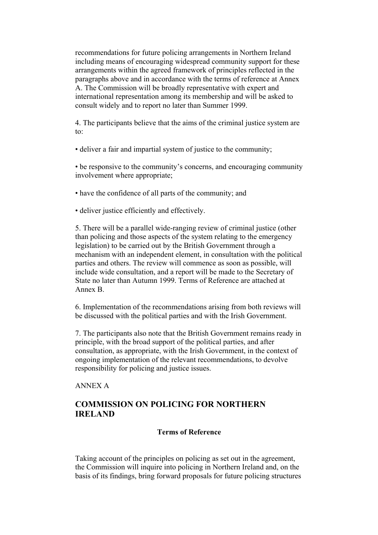recommendations for future policing arrangements in Northern Ireland including means of encouraging widespread community support for these arrangements within the agreed framework of principles reflected in the paragraphs above and in accordance with the terms of reference at Annex A. The Commission will be broadly representative with expert and international representation among its membership and will be asked to consult widely and to report no later than Summer 1999.

4. The participants believe that the aims of the criminal justice system are to:

• deliver a fair and impartial system of justice to the community;

• be responsive to the community's concerns, and encouraging community involvement where appropriate;

- have the confidence of all parts of the community; and
- deliver justice efficiently and effectively.

5. There will be a parallel wide-ranging review of criminal justice (other than policing and those aspects of the system relating to the emergency legislation) to be carried out by the British Government through a mechanism with an independent element, in consultation with the political parties and others. The review will commence as soon as possible, will include wide consultation, and a report will be made to the Secretary of State no later than Autumn 1999. Terms of Reference are attached at Annex B.

6. Implementation of the recommendations arising from both reviews will be discussed with the political parties and with the Irish Government.

7. The participants also note that the British Government remains ready in principle, with the broad support of the political parties, and after consultation, as appropriate, with the Irish Government, in the context of ongoing implementation of the relevant recommendations, to devolve responsibility for policing and justice issues.

## ANNEX A

# **COMMISSION ON POLICING FOR NORTHERN IRELAND**

#### **Terms of Reference**

Taking account of the principles on policing as set out in the agreement, the Commission will inquire into policing in Northern Ireland and, on the basis of its findings, bring forward proposals for future policing structures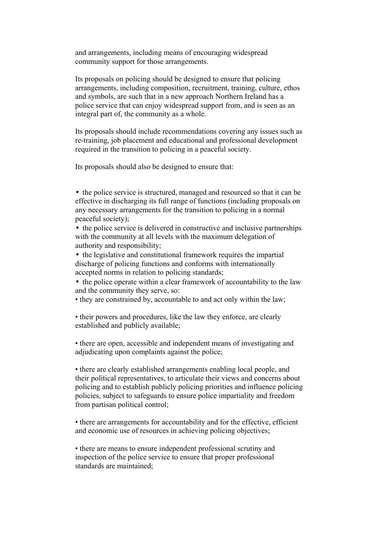and arrangements, including means of encouraging widespread community support for those arrangements.

Its proposals on policing should be designed to ensure that policing arrangements, including composition, recruitment, training, culture, ethos and symbols, are such that in a new approach Northern Ireland has a police service that can enjoy widespread support from, and is seen as an integral part of, the community as a whole.

Its proposals should include recommendations covering any issues such as re-training, job placement and educational and professional development required in the transition to policing in a peaceful society.

Its proposals should also be designed to ensure that:

• the police service is structured, managed and resourced so that it can be effective in discharging its full range of functions (including proposals on any necessary arrangements for the transition to policing in a normal peaceful society);

• the police service is delivered in constructive and inclusive partnerships with the community at all levels with the maximum delegation of authority and responsibility;

• the legislative and constitutional framework requires the impartial discharge of policing functions and conforms with internationally accepted norms in relation to policing standards;

• the police operate within a clear framework of accountability to the law and the community they serve, so:

• they are constrained by, accountable to and act only within the law;

• their powers and procedures, like the law they enforce, are clearly established and publicly available;

• there are open, accessible and independent means of investigating and adjudicating upon complaints against the police;

• there are clearly established arrangements enabling local people, and their political representatives, to articulate their views and concerns about policing and to establish publicly policing priorities and influence policing policies, subject to safeguards to ensure police impartiality and freedom from partisan political control;

• there are arrangements for accountability and for the effective, efficient and economic use of resources in achieving policing objectives;

• there are means to ensure independent professional scrutiny and inspection of the police service to ensure that proper professional standards are maintained;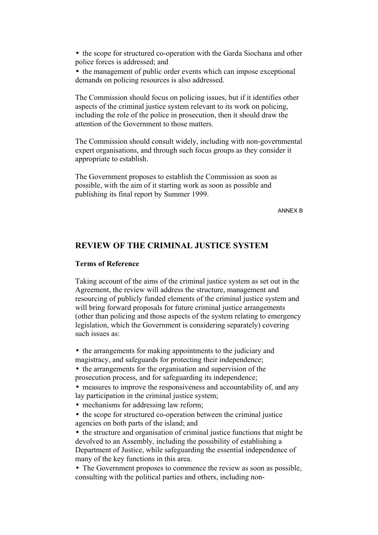• the scope for structured co-operation with the Garda Siochana and other police forces is addressed; and

• the management of public order events which can impose exceptional demands on policing resources is also addressed.

The Commission should focus on policing issues, but if it identifies other aspects of the criminal justice system relevant to its work on policing, including the role of the police in prosecution, then it should draw the attention of the Government to those matters.

The Commission should consult widely, including with non-governmental expert organisations, and through such focus groups as they consider it appropriate to establish.

The Government proposes to establish the Commission as soon as possible, with the aim of it starting work as soon as possible and publishing its final report by Summer 1999.

ANNEX B

## **REVIEW OF THE CRIMINAL JUSTICE SYSTEM**

#### **Terms of Reference**

Taking account of the aims of the criminal justice system as set out in the Agreement, the review will address the structure, management and resourcing of publicly funded elements of the criminal justice system and will bring forward proposals for future criminal justice arrangements (other than policing and those aspects of the system relating to emergency legislation, which the Government is considering separately) covering such issues as:

• the arrangements for making appointments to the judiciary and magistracy, and safeguards for protecting their independence;

- the arrangements for the organisation and supervision of the prosecution process, and for safeguarding its independence;
- measures to improve the responsiveness and accountability of, and any lay participation in the criminal justice system;
- mechanisms for addressing law reform;
- the scope for structured co-operation between the criminal justice agencies on both parts of the island; and

• the structure and organisation of criminal justice functions that might be devolved to an Assembly, including the possibility of establishing a Department of Justice, while safeguarding the essential independence of many of the key functions in this area.

• The Government proposes to commence the review as soon as possible, consulting with the political parties and others, including non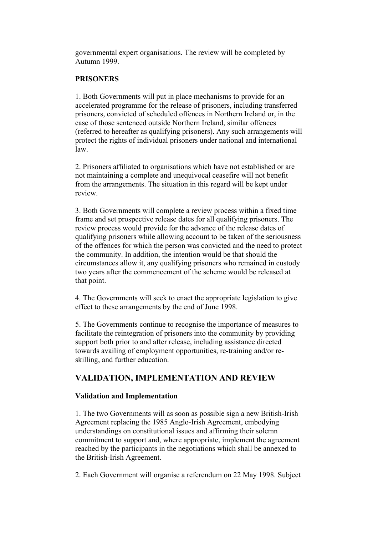governmental expert organisations. The review will be completed by Autumn 1999.

# **PRISONERS**

1. Both Governments will put in place mechanisms to provide for an accelerated programme for the release of prisoners, including transferred prisoners, convicted of scheduled offences in Northern Ireland or, in the case of those sentenced outside Northern Ireland, similar offences (referred to hereafter as qualifying prisoners). Any such arrangements will protect the rights of individual prisoners under national and international law.

2. Prisoners affiliated to organisations which have not established or are not maintaining a complete and unequivocal ceasefire will not benefit from the arrangements. The situation in this regard will be kept under review.

3. Both Governments will complete a review process within a fixed time frame and set prospective release dates for all qualifying prisoners. The review process would provide for the advance of the release dates of qualifying prisoners while allowing account to be taken of the seriousness of the offences for which the person was convicted and the need to protect the community. In addition, the intention would be that should the circumstances allow it, any qualifying prisoners who remained in custody two years after the commencement of the scheme would be released at that point.

4. The Governments will seek to enact the appropriate legislation to give effect to these arrangements by the end of June 1998.

5. The Governments continue to recognise the importance of measures to facilitate the reintegration of prisoners into the community by providing support both prior to and after release, including assistance directed towards availing of employment opportunities, re-training and/or reskilling, and further education.

# **VALIDATION, IMPLEMENTATION AND REVIEW**

## **Validation and Implementation**

1. The two Governments will as soon as possible sign a new British-Irish Agreement replacing the 1985 Anglo-Irish Agreement, embodying understandings on constitutional issues and affirming their solemn commitment to support and, where appropriate, implement the agreement reached by the participants in the negotiations which shall be annexed to the British-Irish Agreement.

2. Each Government will organise a referendum on 22 May 1998. Subject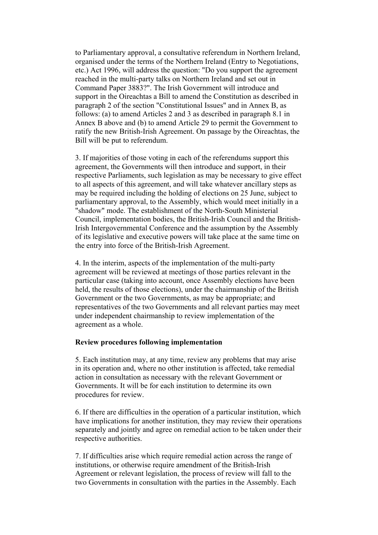to Parliamentary approval, a consultative referendum in Northern Ireland, organised under the terms of the Northern Ireland (Entry to Negotiations, etc.) Act 1996, will address the question: "Do you support the agreement reached in the multi-party talks on Northern Ireland and set out in Command Paper 3883?". The Irish Government will introduce and support in the Oireachtas a Bill to amend the Constitution as described in paragraph 2 of the section "Constitutional Issues" and in Annex B, as follows: (a) to amend Articles 2 and 3 as described in paragraph 8.1 in Annex B above and (b) to amend Article 29 to permit the Government to ratify the new British-Irish Agreement. On passage by the Oireachtas, the Bill will be put to referendum.

3. If majorities of those voting in each of the referendums support this agreement, the Governments will then introduce and support, in their respective Parliaments, such legislation as may be necessary to give effect to all aspects of this agreement, and will take whatever ancillary steps as may be required including the holding of elections on 25 June, subject to parliamentary approval, to the Assembly, which would meet initially in a "shadow" mode. The establishment of the North-South Ministerial Council, implementation bodies, the British-Irish Council and the British-Irish Intergovernmental Conference and the assumption by the Assembly of its legislative and executive powers will take place at the same time on the entry into force of the British-Irish Agreement.

4. In the interim, aspects of the implementation of the multi-party agreement will be reviewed at meetings of those parties relevant in the particular case (taking into account, once Assembly elections have been held, the results of those elections), under the chairmanship of the British Government or the two Governments, as may be appropriate; and representatives of the two Governments and all relevant parties may meet under independent chairmanship to review implementation of the agreement as a whole.

#### **Review procedures following implementation**

5. Each institution may, at any time, review any problems that may arise in its operation and, where no other institution is affected, take remedial action in consultation as necessary with the relevant Government or Governments. It will be for each institution to determine its own procedures for review.

6. If there are difficulties in the operation of a particular institution, which have implications for another institution, they may review their operations separately and jointly and agree on remedial action to be taken under their respective authorities.

7. If difficulties arise which require remedial action across the range of institutions, or otherwise require amendment of the British-Irish Agreement or relevant legislation, the process of review will fall to the two Governments in consultation with the parties in the Assembly. Each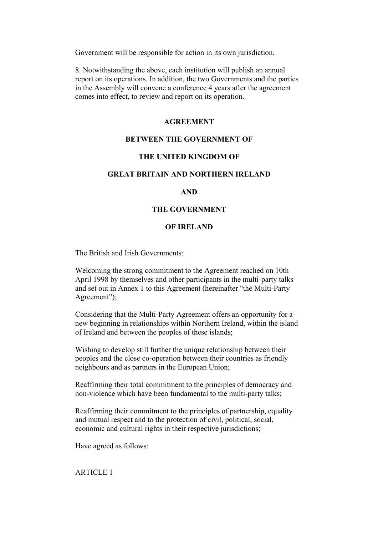Government will be responsible for action in its own jurisdiction.

8. Notwithstanding the above, each institution will publish an annual report on its operations. In addition, the two Governments and the parties in the Assembly will convene a conference 4 years after the agreement comes into effect, to review and report on its operation.

## **AGREEMENT**

## **BETWEEN THE GOVERNMENT OF**

## **THE UNITED KINGDOM OF**

## **GREAT BRITAIN AND NORTHERN IRELAND**

## **AND**

## **THE GOVERNMENT**

## **OF IRELAND**

The British and Irish Governments:

Welcoming the strong commitment to the Agreement reached on 10th April 1998 by themselves and other participants in the multi-party talks and set out in Annex 1 to this Agreement (hereinafter "the Multi-Party Agreement");

Considering that the Multi-Party Agreement offers an opportunity for a new beginning in relationships within Northern Ireland, within the island of Ireland and between the peoples of these islands;

Wishing to develop still further the unique relationship between their peoples and the close co-operation between their countries as friendly neighbours and as partners in the European Union;

Reaffirming their total commitment to the principles of democracy and non-violence which have been fundamental to the multi-party talks;

Reaffirming their commitment to the principles of partnership, equality and mutual respect and to the protection of civil, political, social, economic and cultural rights in their respective jurisdictions;

Have agreed as follows:

## ARTICLE 1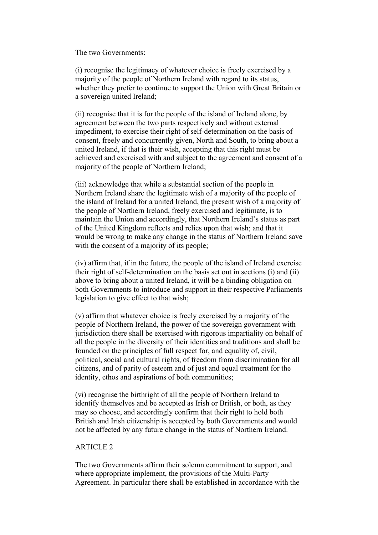The two Governments:

(i) recognise the legitimacy of whatever choice is freely exercised by a majority of the people of Northern Ireland with regard to its status, whether they prefer to continue to support the Union with Great Britain or a sovereign united Ireland;

(ii) recognise that it is for the people of the island of Ireland alone, by agreement between the two parts respectively and without external impediment, to exercise their right of self-determination on the basis of consent, freely and concurrently given, North and South, to bring about a united Ireland, if that is their wish, accepting that this right must be achieved and exercised with and subject to the agreement and consent of a majority of the people of Northern Ireland;

(iii) acknowledge that while a substantial section of the people in Northern Ireland share the legitimate wish of a majority of the people of the island of Ireland for a united Ireland, the present wish of a majority of the people of Northern Ireland, freely exercised and legitimate, is to maintain the Union and accordingly, that Northern Ireland's status as part of the United Kingdom reflects and relies upon that wish; and that it would be wrong to make any change in the status of Northern Ireland save with the consent of a majority of its people;

(iv) affirm that, if in the future, the people of the island of Ireland exercise their right of self-determination on the basis set out in sections (i) and (ii) above to bring about a united Ireland, it will be a binding obligation on both Governments to introduce and support in their respective Parliaments legislation to give effect to that wish;

(v) affirm that whatever choice is freely exercised by a majority of the people of Northern Ireland, the power of the sovereign government with jurisdiction there shall be exercised with rigorous impartiality on behalf of all the people in the diversity of their identities and traditions and shall be founded on the principles of full respect for, and equality of, civil, political, social and cultural rights, of freedom from discrimination for all citizens, and of parity of esteem and of just and equal treatment for the identity, ethos and aspirations of both communities;

(vi) recognise the birthright of all the people of Northern Ireland to identify themselves and be accepted as Irish or British, or both, as they may so choose, and accordingly confirm that their right to hold both British and Irish citizenship is accepted by both Governments and would not be affected by any future change in the status of Northern Ireland.

## ARTICLE 2

The two Governments affirm their solemn commitment to support, and where appropriate implement, the provisions of the Multi-Party Agreement. In particular there shall be established in accordance with the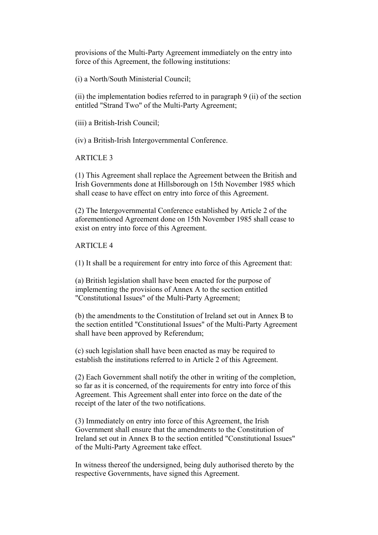provisions of the Multi-Party Agreement immediately on the entry into force of this Agreement, the following institutions:

(i) a North/South Ministerial Council;

(ii) the implementation bodies referred to in paragraph 9 (ii) of the section entitled "Strand Two" of the Multi-Party Agreement;

(iii) a British-Irish Council;

(iv) a British-Irish Intergovernmental Conference.

ARTICLE 3

(1) This Agreement shall replace the Agreement between the British and Irish Governments done at Hillsborough on 15th November 1985 which shall cease to have effect on entry into force of this Agreement.

(2) The Intergovernmental Conference established by Article 2 of the aforementioned Agreement done on 15th November 1985 shall cease to exist on entry into force of this Agreement.

ARTICLE 4

(1) It shall be a requirement for entry into force of this Agreement that:

(a) British legislation shall have been enacted for the purpose of implementing the provisions of Annex A to the section entitled "Constitutional Issues" of the Multi-Party Agreement;

(b) the amendments to the Constitution of Ireland set out in Annex B to the section entitled "Constitutional Issues" of the Multi-Party Agreement shall have been approved by Referendum;

(c) such legislation shall have been enacted as may be required to establish the institutions referred to in Article 2 of this Agreement.

(2) Each Government shall notify the other in writing of the completion, so far as it is concerned, of the requirements for entry into force of this Agreement. This Agreement shall enter into force on the date of the receipt of the later of the two notifications.

(3) Immediately on entry into force of this Agreement, the Irish Government shall ensure that the amendments to the Constitution of Ireland set out in Annex B to the section entitled "Constitutional Issues" of the Multi-Party Agreement take effect.

In witness thereof the undersigned, being duly authorised thereto by the respective Governments, have signed this Agreement.